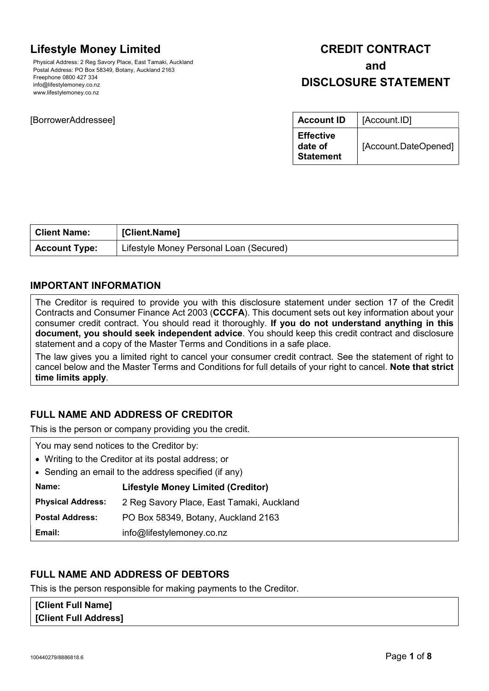# Lifestyle Money Limited

Physical Address: 2 Reg Savory Place, East Tamaki, Auckland Postal Address: PO Box 58349, Botany, Auckland 2163 Freephone 0800 427 334 info@lifestylemoney.co.nz www.lifestylemoney.co.nz

## [BorrowerAddressee]

# CREDIT CONTRACT and DISCLOSURE STATEMENT

| <b>Account ID</b>                               | [Account.ID]         |
|-------------------------------------------------|----------------------|
| <b>Effective</b><br>date of<br><b>Statement</b> | [Account.DateOpened] |

| <b>Client Name:</b>  | [Client.Name]                           |
|----------------------|-----------------------------------------|
| <b>Account Type:</b> | Lifestyle Money Personal Loan (Secured) |

# IMPORTANT INFORMATION

The Creditor is required to provide you with this disclosure statement under section 17 of the Credit Contracts and Consumer Finance Act 2003 (CCCFA). This document sets out key information about your consumer credit contract. You should read it thoroughly. If you do not understand anything in this document, you should seek independent advice. You should keep this credit contract and disclosure statement and a copy of the Master Terms and Conditions in a safe place.

The law gives you a limited right to cancel your consumer credit contract. See the statement of right to cancel below and the Master Terms and Conditions for full details of your right to cancel. Note that strict time limits apply.

# FULL NAME AND ADDRESS OF CREDITOR

This is the person or company providing you the credit.

| You may send notices to the Creditor by:             |                                           |
|------------------------------------------------------|-------------------------------------------|
| • Writing to the Creditor at its postal address; or  |                                           |
| • Sending an email to the address specified (if any) |                                           |
| Name:                                                | <b>Lifestyle Money Limited (Creditor)</b> |
| <b>Physical Address:</b>                             | 2 Reg Savory Place, East Tamaki, Auckland |
| <b>Postal Address:</b>                               | PO Box 58349, Botany, Auckland 2163       |
| Email:                                               | info@lifestylemoney.co.nz                 |

# FULL NAME AND ADDRESS OF DEBTORS

This is the person responsible for making payments to the Creditor.

[Client Full Name] **[Client Full Address]**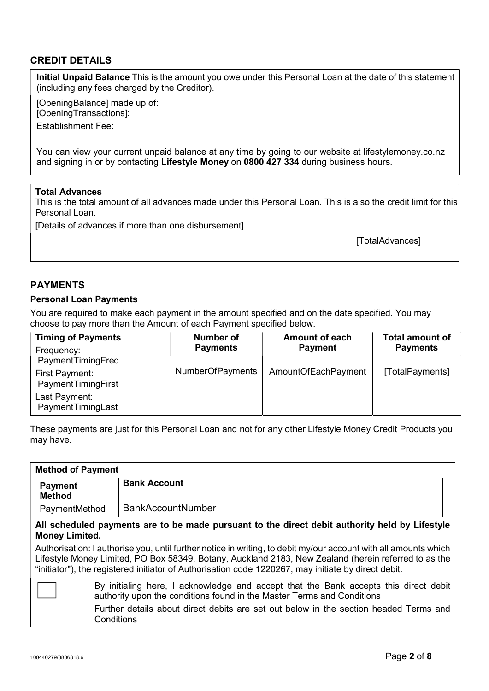# CREDIT DETAILS

Initial Unpaid Balance This is the amount you owe under this Personal Loan at the date of this statement (including any fees charged by the Creditor).

[OpeningBalance] made up of: [OpeningTransactions]:

Establishment Fee:

You can view your current unpaid balance at any time by going to our website at lifestylemoney.co.nz and signing in or by contacting Lifestyle Money on 0800 427 334 during business hours.

### Total Advances

This is the total amount of all advances made under this Personal Loan. This is also the credit limit for this Personal Loan

[Details of advances if more than one disbursement]

[TotalAdvances]

# PAYMENTS

#### Personal Loan Payments

You are required to make each payment in the amount specified and on the date specified. You may choose to pay more than the Amount of each Payment specified below.

| <b>Timing of Payments</b>            | Number of               | <b>Amount of each</b> | <b>Total amount of</b> |
|--------------------------------------|-------------------------|-----------------------|------------------------|
| Frequency:<br>PaymentTimingFreq      | <b>Payments</b>         | <b>Payment</b>        | <b>Payments</b>        |
| First Payment:<br>PaymentTimingFirst | <b>NumberOfPayments</b> | AmountOfEachPayment   | [TotalPayments]        |
| Last Payment:<br>PaymentTimingLast   |                         |                       |                        |

These payments are just for this Personal Loan and not for any other Lifestyle Money Credit Products you may have.

| <b>Method of Payment</b>                                                                                                                                       |                                                                                                                                                                                                                                                                                                                                |  |
|----------------------------------------------------------------------------------------------------------------------------------------------------------------|--------------------------------------------------------------------------------------------------------------------------------------------------------------------------------------------------------------------------------------------------------------------------------------------------------------------------------|--|
| <b>Payment</b><br><b>Method</b>                                                                                                                                | <b>Bank Account</b>                                                                                                                                                                                                                                                                                                            |  |
| PaymentMethod                                                                                                                                                  | <b>BankAccountNumber</b>                                                                                                                                                                                                                                                                                                       |  |
| <b>Money Limited.</b>                                                                                                                                          | All scheduled payments are to be made pursuant to the direct debit authority held by Lifestyle                                                                                                                                                                                                                                 |  |
|                                                                                                                                                                | Authorisation: I authorise you, until further notice in writing, to debit my/our account with all amounts which<br>Lifestyle Money Limited, PO Box 58349, Botany, Auckland 2183, New Zealand (herein referred to as the<br>"initiator"), the registered initiator of Authorisation code 1220267, may initiate by direct debit. |  |
| By initialing here, I acknowledge and accept that the Bank accepts this direct debit<br>authority upon the conditions found in the Master Terms and Conditions |                                                                                                                                                                                                                                                                                                                                |  |
|                                                                                                                                                                | Further details about direct debits are set out below in the section headed Terms and<br>Conditions                                                                                                                                                                                                                            |  |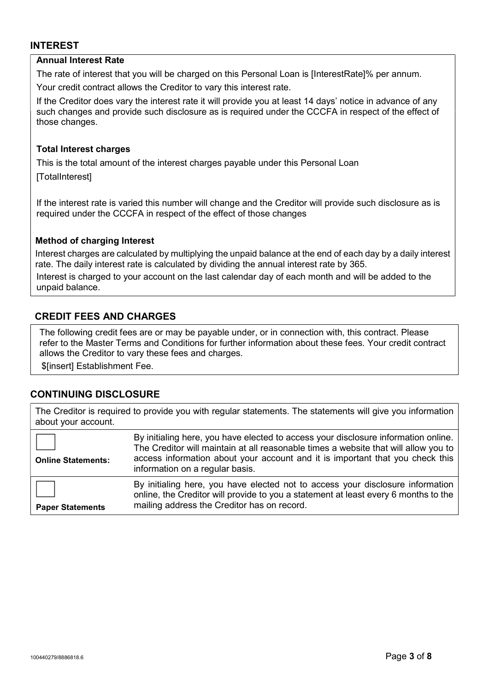## INTEREST

### Annual Interest Rate

The rate of interest that you will be charged on this Personal Loan is [InterestRate]% per annum.

Your credit contract allows the Creditor to vary this interest rate.

If the Creditor does vary the interest rate it will provide you at least 14 days' notice in advance of any such changes and provide such disclosure as is required under the CCCFA in respect of the effect of those changes.

### Total Interest charges

This is the total amount of the interest charges payable under this Personal Loan

[TotalInterest]

If the interest rate is varied this number will change and the Creditor will provide such disclosure as is required under the CCCFA in respect of the effect of those changes

## Method of charging Interest

Interest charges are calculated by multiplying the unpaid balance at the end of each day by a daily interest rate. The daily interest rate is calculated by dividing the annual interest rate by 365.

Interest is charged to your account on the last calendar day of each month and will be added to the unpaid balance.

# CREDIT FEES AND CHARGES

The following credit fees are or may be payable under, or in connection with, this contract. Please refer to the Master Terms and Conditions for further information about these fees. Your credit contract allows the Creditor to vary these fees and charges.

\$[insert] Establishment Fee.

# CONTINUING DISCLOSURE

The Creditor is required to provide you with regular statements. The statements will give you information about your account.

| <b>Online Statements:</b> | By initialing here, you have elected to access your disclosure information online.<br>The Creditor will maintain at all reasonable times a website that will allow you to<br>access information about your account and it is important that you check this<br>information on a regular basis. |
|---------------------------|-----------------------------------------------------------------------------------------------------------------------------------------------------------------------------------------------------------------------------------------------------------------------------------------------|
| <b>Paper Statements</b>   | By initialing here, you have elected not to access your disclosure information<br>online, the Creditor will provide to you a statement at least every 6 months to the<br>mailing address the Creditor has on record.                                                                          |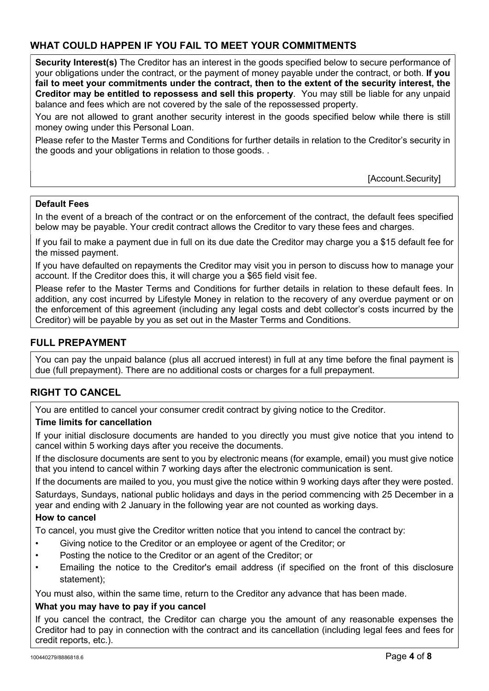# WHAT COULD HAPPEN IF YOU FAIL TO MEET YOUR COMMITMENTS

Security Interest(s) The Creditor has an interest in the goods specified below to secure performance of your obligations under the contract, or the payment of money payable under the contract, or both. If you fail to meet your commitments under the contract, then to the extent of the security interest, the Creditor may be entitled to repossess and sell this property. You may still be liable for any unpaid balance and fees which are not covered by the sale of the repossessed property.

You are not allowed to grant another security interest in the goods specified below while there is still money owing under this Personal Loan.

Please refer to the Master Terms and Conditions for further details in relation to the Creditor's security in the goods and your obligations in relation to those goods. .

[Account.Security]

## Default Fees

In the event of a breach of the contract or on the enforcement of the contract, the default fees specified below may be payable. Your credit contract allows the Creditor to vary these fees and charges.

If you fail to make a payment due in full on its due date the Creditor may charge you a \$15 default fee for the missed payment.

If you have defaulted on repayments the Creditor may visit you in person to discuss how to manage your account. If the Creditor does this, it will charge you a \$65 field visit fee.

Please refer to the Master Terms and Conditions for further details in relation to these default fees. In addition, any cost incurred by Lifestyle Money in relation to the recovery of any overdue payment or on the enforcement of this agreement (including any legal costs and debt collector's costs incurred by the Creditor) will be payable by you as set out in the Master Terms and Conditions.

# FULL PREPAYMENT

You can pay the unpaid balance (plus all accrued interest) in full at any time before the final payment is due (full prepayment). There are no additional costs or charges for a full prepayment.

# RIGHT TO CANCEL

You are entitled to cancel your consumer credit contract by giving notice to the Creditor.

### Time limits for cancellation

If your initial disclosure documents are handed to you directly you must give notice that you intend to cancel within 5 working days after you receive the documents.

If the disclosure documents are sent to you by electronic means (for example, email) you must give notice that you intend to cancel within 7 working days after the electronic communication is sent.

If the documents are mailed to you, you must give the notice within 9 working days after they were posted.

Saturdays, Sundays, national public holidays and days in the period commencing with 25 December in a year and ending with 2 January in the following year are not counted as working days.

## How to cancel

To cancel, you must give the Creditor written notice that you intend to cancel the contract by:

- Giving notice to the Creditor or an employee or agent of the Creditor; or
- Posting the notice to the Creditor or an agent of the Creditor; or
- Emailing the notice to the Creditor's email address (if specified on the front of this disclosure statement);

You must also, within the same time, return to the Creditor any advance that has been made.

### What you may have to pay if you cancel

If you cancel the contract, the Creditor can charge you the amount of any reasonable expenses the Creditor had to pay in connection with the contract and its cancellation (including legal fees and fees for credit reports, etc.).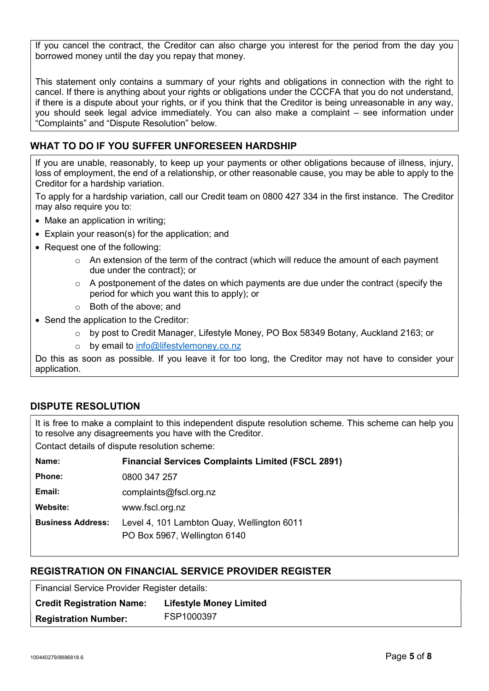If you cancel the contract, the Creditor can also charge you interest for the period from the day you borrowed money until the day you repay that money.

This statement only contains a summary of your rights and obligations in connection with the right to cancel. If there is anything about your rights or obligations under the CCCFA that you do not understand, if there is a dispute about your rights, or if you think that the Creditor is being unreasonable in any way, you should seek legal advice immediately. You can also make a complaint – see information under "Complaints" and "Dispute Resolution" below.

# WHAT TO DO IF YOU SUFFER UNFORESEEN HARDSHIP

If you are unable, reasonably, to keep up your payments or other obligations because of illness, injury, loss of employment, the end of a relationship, or other reasonable cause, you may be able to apply to the Creditor for a hardship variation.

To apply for a hardship variation, call our Credit team on 0800 427 334 in the first instance. The Creditor may also require you to:

- Make an application in writing;
- Explain your reason(s) for the application; and
- Request one of the following:
	- $\circ$  An extension of the term of the contract (which will reduce the amount of each payment due under the contract); or
	- $\circ$  A postponement of the dates on which payments are due under the contract (specify the period for which you want this to apply); or
	- o Both of the above; and
- Send the application to the Creditor:
	- o by post to Credit Manager, Lifestyle Money, PO Box 58349 Botany, Auckland 2163; or
	- o by email to info@lifestylemoney.co.nz

Do this as soon as possible. If you leave it for too long, the Creditor may not have to consider your application.

# DISPUTE RESOLUTION

It is free to make a complaint to this independent dispute resolution scheme. This scheme can help you to resolve any disagreements you have with the Creditor.

Contact details of dispute resolution scheme:

| <b>Financial Services Complaints Limited (FSCL 2891)</b>                   |
|----------------------------------------------------------------------------|
| 0800 347 257                                                               |
| complaints@fscl.org.nz                                                     |
| www.fscl.org.nz                                                            |
| Level 4, 101 Lambton Quay, Wellington 6011<br>PO Box 5967, Wellington 6140 |
|                                                                            |

# REGISTRATION ON FINANCIAL SERVICE PROVIDER REGISTER

Financial Service Provider Register details:

| <b>Credit Registration Name:</b> | <b>Lifestyle Money Limited</b> |
|----------------------------------|--------------------------------|
| <b>Registration Number:</b>      | FSP1000397                     |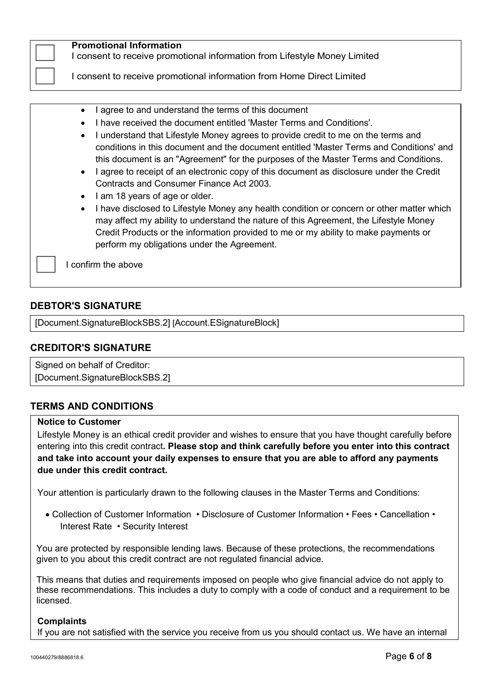| <b>Promotional Information</b><br>I consent to receive promotional information from Lifestyle Money Limited<br>I consent to receive promotional information from Home Direct Limited                                                                                                                                                                                                                                                                                                                                                                                                                                                                                                                                                                                                                                                                                                                                                                                        |
|-----------------------------------------------------------------------------------------------------------------------------------------------------------------------------------------------------------------------------------------------------------------------------------------------------------------------------------------------------------------------------------------------------------------------------------------------------------------------------------------------------------------------------------------------------------------------------------------------------------------------------------------------------------------------------------------------------------------------------------------------------------------------------------------------------------------------------------------------------------------------------------------------------------------------------------------------------------------------------|
| I agree to and understand the terms of this document<br>$\bullet$<br>I have received the document entitled 'Master Terms and Conditions'.<br>I understand that Lifestyle Money agrees to provide credit to me on the terms and<br>$\bullet$<br>conditions in this document and the document entitled 'Master Terms and Conditions' and<br>this document is an "Agreement" for the purposes of the Master Terms and Conditions.<br>I agree to receipt of an electronic copy of this document as disclosure under the Credit<br>$\bullet$<br>Contracts and Consumer Finance Act 2003.<br>I am 18 years of age or older.<br>$\bullet$<br>I have disclosed to Lifestyle Money any health condition or concern or other matter which<br>$\bullet$<br>may affect my ability to understand the nature of this Agreement, the Lifestyle Money<br>Credit Products or the information provided to me or my ability to make payments or<br>perform my obligations under the Agreement. |
| confirm the above                                                                                                                                                                                                                                                                                                                                                                                                                                                                                                                                                                                                                                                                                                                                                                                                                                                                                                                                                           |

# DEBTOR'S SIGNATURE

[Document.SignatureBlockSBS.2] [Account.ESignatureBlock]

## CREDITOR'S SIGNATURE

Signed on behalf of Creditor: [Document.SignatureBlockSBS.2]

# TERMS AND CONDITIONS

#### Notice to Customer

Lifestyle Money is an ethical credit provider and wishes to ensure that you have thought carefully before entering into this credit contract. Please stop and think carefully before you enter into this contract and take into account your daily expenses to ensure that you are able to afford any payments due under this credit contract.

Your attention is particularly drawn to the following clauses in the Master Terms and Conditions:

 Collection of Customer Information • Disclosure of Customer Information • Fees • Cancellation • Interest Rate • Security Interest

You are protected by responsible lending laws. Because of these protections, the recommendations given to you about this credit contract are not regulated financial advice.

This means that duties and requirements imposed on people who give financial advice do not apply to these recommendations. This includes a duty to comply with a code of conduct and a requirement to be licensed.

### **Complaints**

If you are not satisfied with the service you receive from us you should contact us. We have an internal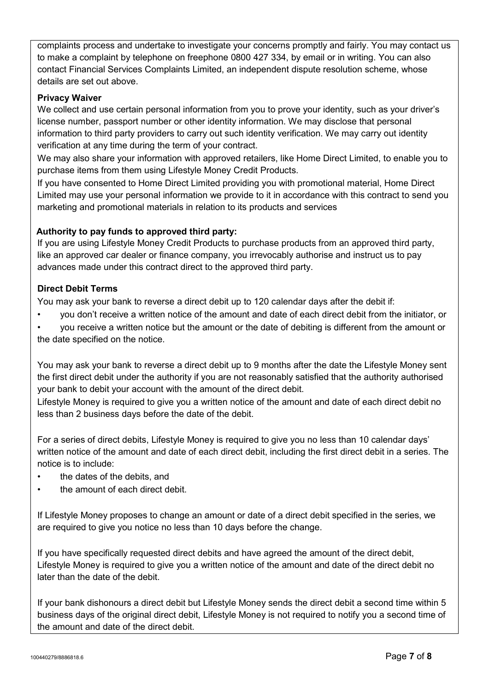complaints process and undertake to investigate your concerns promptly and fairly. You may contact us to make a complaint by telephone on freephone 0800 427 334, by email or in writing. You can also contact Financial Services Complaints Limited, an independent dispute resolution scheme, whose details are set out above.

## Privacy Waiver

We collect and use certain personal information from you to prove your identity, such as your driver's license number, passport number or other identity information. We may disclose that personal information to third party providers to carry out such identity verification. We may carry out identity verification at any time during the term of your contract.

We may also share your information with approved retailers, like Home Direct Limited, to enable you to purchase items from them using Lifestyle Money Credit Products.

If you have consented to Home Direct Limited providing you with promotional material, Home Direct Limited may use your personal information we provide to it in accordance with this contract to send you marketing and promotional materials in relation to its products and services

# Authority to pay funds to approved third party:

If you are using Lifestyle Money Credit Products to purchase products from an approved third party, like an approved car dealer or finance company, you irrevocably authorise and instruct us to pay advances made under this contract direct to the approved third party.

## Direct Debit Terms

You may ask your bank to reverse a direct debit up to 120 calendar days after the debit if:

- you don't receive a written notice of the amount and date of each direct debit from the initiator, or
- you receive a written notice but the amount or the date of debiting is different from the amount or the date specified on the notice.

You may ask your bank to reverse a direct debit up to 9 months after the date the Lifestyle Money sent the first direct debit under the authority if you are not reasonably satisfied that the authority authorised your bank to debit your account with the amount of the direct debit.

Lifestyle Money is required to give you a written notice of the amount and date of each direct debit no less than 2 business days before the date of the debit.

For a series of direct debits, Lifestyle Money is required to give you no less than 10 calendar days' written notice of the amount and date of each direct debit, including the first direct debit in a series. The notice is to include:

- the dates of the debits, and
- the amount of each direct debit.

If Lifestyle Money proposes to change an amount or date of a direct debit specified in the series, we are required to give you notice no less than 10 days before the change.

If you have specifically requested direct debits and have agreed the amount of the direct debit, Lifestyle Money is required to give you a written notice of the amount and date of the direct debit no later than the date of the debit.

If your bank dishonours a direct debit but Lifestyle Money sends the direct debit a second time within 5 business days of the original direct debit, Lifestyle Money is not required to notify you a second time of the amount and date of the direct debit.